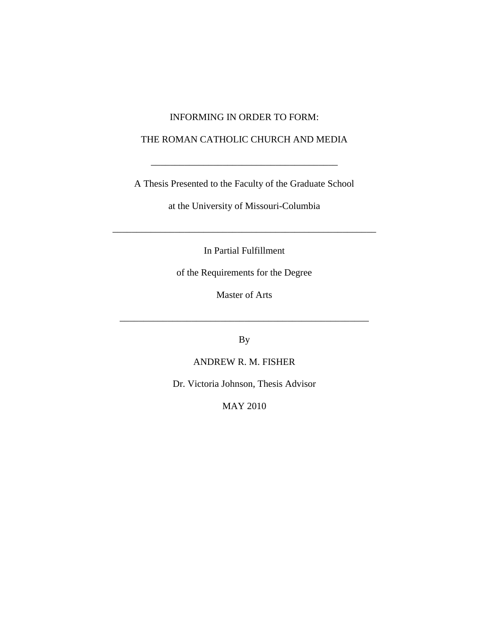#### INFORMING IN ORDER TO FORM:

#### THE ROMAN CATHOLIC CHURCH AND MEDIA

A Thesis Presented to the Faculty of the Graduate School

\_\_\_\_\_\_\_\_\_\_\_\_\_\_\_\_\_\_\_\_\_\_\_\_\_\_\_\_\_\_\_\_\_\_\_\_\_\_\_

at the University of Missouri-Columbia

In Partial Fulfillment

\_\_\_\_\_\_\_\_\_\_\_\_\_\_\_\_\_\_\_\_\_\_\_\_\_\_\_\_\_\_\_\_\_\_\_\_\_\_\_\_\_\_\_\_\_\_\_\_\_\_\_\_\_\_\_

of the Requirements for the Degree

Master of Arts

\_\_\_\_\_\_\_\_\_\_\_\_\_\_\_\_\_\_\_\_\_\_\_\_\_\_\_\_\_\_\_\_\_\_\_\_\_\_\_\_\_\_\_\_\_\_\_\_\_\_\_\_

By

ANDREW R. M. FISHER

Dr. Victoria Johnson, Thesis Advisor

MAY 2010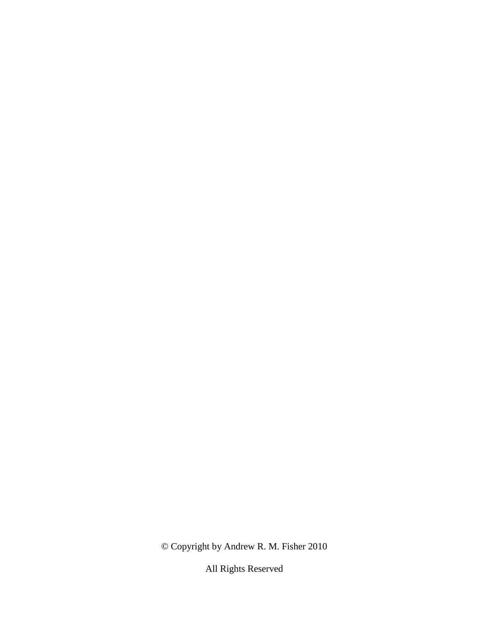© Copyright by Andrew R. M. Fisher 2010

All Rights Reserved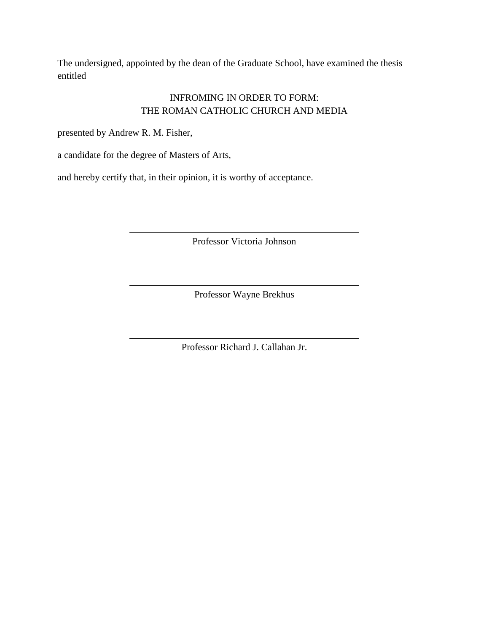The undersigned, appointed by the dean of the Graduate School, have examined the thesis entitled

## INFROMING IN ORDER TO FORM: THE ROMAN CATHOLIC CHURCH AND MEDIA

presented by Andrew R. M. Fisher,

a candidate for the degree of Masters of Arts,

and hereby certify that, in their opinion, it is worthy of acceptance.

Professor Victoria Johnson

Professor Wayne Brekhus

Professor Richard J. Callahan Jr.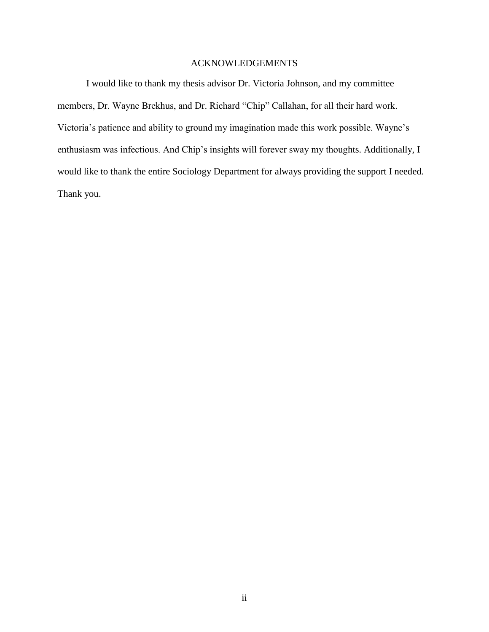#### ACKNOWLEDGEMENTS

I would like to thank my thesis advisor Dr. Victoria Johnson, and my committee members, Dr. Wayne Brekhus, and Dr. Richard "Chip" Callahan, for all their hard work. Victoria"s patience and ability to ground my imagination made this work possible. Wayne"s enthusiasm was infectious. And Chip's insights will forever sway my thoughts. Additionally, I would like to thank the entire Sociology Department for always providing the support I needed. Thank you.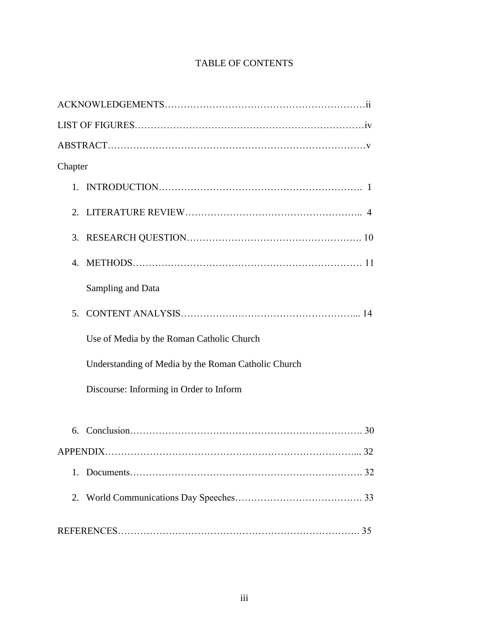## TABLE OF CONTENTS

| Chapter                                             |
|-----------------------------------------------------|
|                                                     |
|                                                     |
|                                                     |
|                                                     |
| Sampling and Data                                   |
| 5 <sub>1</sub>                                      |
| Use of Media by the Roman Catholic Church           |
| Understanding of Media by the Roman Catholic Church |
| Discourse: Informing in Order to Inform             |
| 6.                                                  |
|                                                     |
| 1.                                                  |
|                                                     |
|                                                     |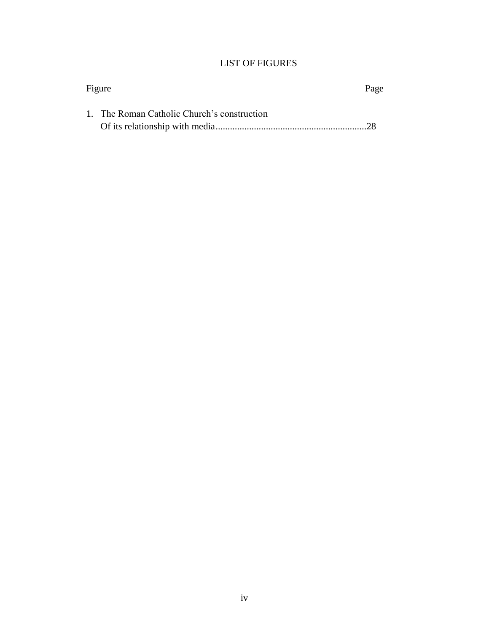## LIST OF FIGURES

| Figure |                                             | Page |  |
|--------|---------------------------------------------|------|--|
|        | 1. The Roman Catholic Church's construction |      |  |
|        |                                             |      |  |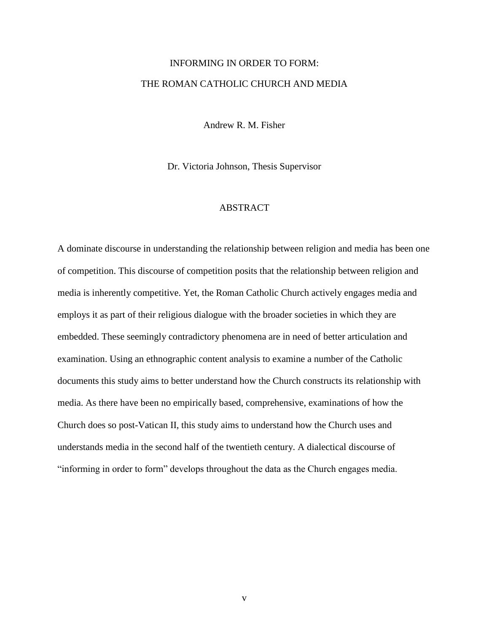## INFORMING IN ORDER TO FORM: THE ROMAN CATHOLIC CHURCH AND MEDIA

Andrew R. M. Fisher

Dr. Victoria Johnson, Thesis Supervisor

#### ABSTRACT

A dominate discourse in understanding the relationship between religion and media has been one of competition. This discourse of competition posits that the relationship between religion and media is inherently competitive. Yet, the Roman Catholic Church actively engages media and employs it as part of their religious dialogue with the broader societies in which they are embedded. These seemingly contradictory phenomena are in need of better articulation and examination. Using an ethnographic content analysis to examine a number of the Catholic documents this study aims to better understand how the Church constructs its relationship with media. As there have been no empirically based, comprehensive, examinations of how the Church does so post-Vatican II, this study aims to understand how the Church uses and understands media in the second half of the twentieth century. A dialectical discourse of "informing in order to form" develops throughout the data as the Church engages media.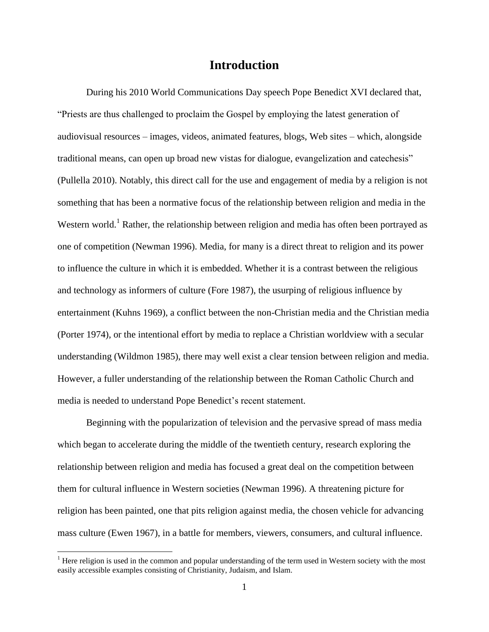## **Introduction**

During his 2010 World Communications Day speech Pope Benedict XVI declared that, "Priests are thus challenged to proclaim the Gospel by employing the latest generation of audiovisual resources – images, videos, animated features, blogs, Web sites – which, alongside traditional means, can open up broad new vistas for dialogue, evangelization and catechesis" (Pullella 2010). Notably, this direct call for the use and engagement of media by a religion is not something that has been a normative focus of the relationship between religion and media in the Western world.<sup>1</sup> Rather, the relationship between religion and media has often been portrayed as one of competition (Newman 1996). Media, for many is a direct threat to religion and its power to influence the culture in which it is embedded. Whether it is a contrast between the religious and technology as informers of culture (Fore 1987), the usurping of religious influence by entertainment (Kuhns 1969), a conflict between the non-Christian media and the Christian media (Porter 1974), or the intentional effort by media to replace a Christian worldview with a secular understanding (Wildmon 1985), there may well exist a clear tension between religion and media. However, a fuller understanding of the relationship between the Roman Catholic Church and media is needed to understand Pope Benedict"s recent statement.

Beginning with the popularization of television and the pervasive spread of mass media which began to accelerate during the middle of the twentieth century, research exploring the relationship between religion and media has focused a great deal on the competition between them for cultural influence in Western societies (Newman 1996). A threatening picture for religion has been painted, one that pits religion against media, the chosen vehicle for advancing mass culture (Ewen 1967), in a battle for members, viewers, consumers, and cultural influence.

 $\overline{a}$ 

<sup>&</sup>lt;sup>1</sup> Here religion is used in the common and popular understanding of the term used in Western society with the most easily accessible examples consisting of Christianity, Judaism, and Islam.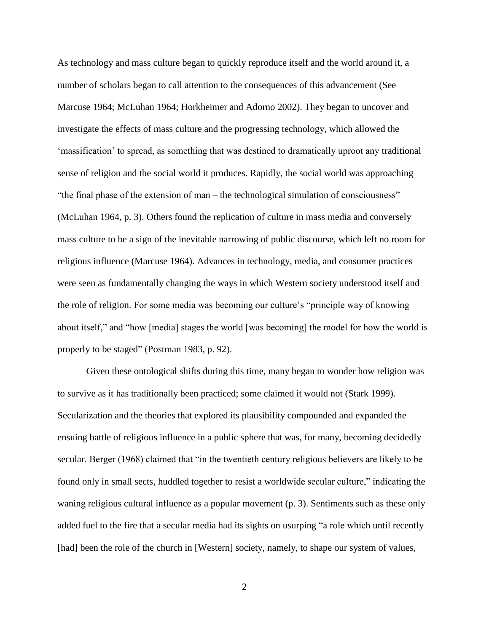As technology and mass culture began to quickly reproduce itself and the world around it, a number of scholars began to call attention to the consequences of this advancement (See Marcuse 1964; McLuhan 1964; Horkheimer and Adorno 2002). They began to uncover and investigate the effects of mass culture and the progressing technology, which allowed the "massification" to spread, as something that was destined to dramatically uproot any traditional sense of religion and the social world it produces. Rapidly, the social world was approaching "the final phase of the extension of man – the technological simulation of consciousness" (McLuhan 1964, p. 3). Others found the replication of culture in mass media and conversely mass culture to be a sign of the inevitable narrowing of public discourse, which left no room for religious influence (Marcuse 1964). Advances in technology, media, and consumer practices were seen as fundamentally changing the ways in which Western society understood itself and the role of religion. For some media was becoming our culture"s "principle way of knowing about itself," and "how [media] stages the world [was becoming] the model for how the world is properly to be staged" (Postman 1983, p. 92).

Given these ontological shifts during this time, many began to wonder how religion was to survive as it has traditionally been practiced; some claimed it would not (Stark 1999). Secularization and the theories that explored its plausibility compounded and expanded the ensuing battle of religious influence in a public sphere that was, for many, becoming decidedly secular. Berger (1968) claimed that "in the twentieth century religious believers are likely to be found only in small sects, huddled together to resist a worldwide secular culture," indicating the waning religious cultural influence as a popular movement (p. 3). Sentiments such as these only added fuel to the fire that a secular media had its sights on usurping "a role which until recently [had] been the role of the church in [Western] society, namely, to shape our system of values,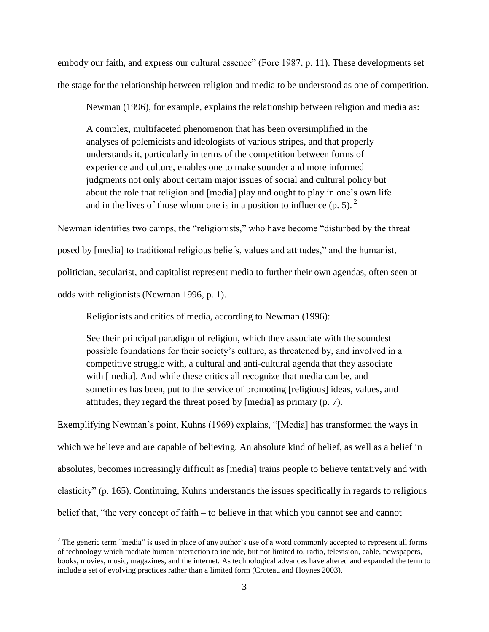embody our faith, and express our cultural essence" (Fore 1987, p. 11). These developments set the stage for the relationship between religion and media to be understood as one of competition.

Newman (1996), for example, explains the relationship between religion and media as:

A complex, multifaceted phenomenon that has been oversimplified in the analyses of polemicists and ideologists of various stripes, and that properly understands it, particularly in terms of the competition between forms of experience and culture, enables one to make sounder and more informed judgments not only about certain major issues of social and cultural policy but about the role that religion and [media] play and ought to play in one's own life and in the lives of those whom one is in a position to influence  $(p, 5)$ .

Newman identifies two camps, the "religionists," who have become "disturbed by the threat posed by [media] to traditional religious beliefs, values and attitudes," and the humanist, politician, secularist, and capitalist represent media to further their own agendas, often seen at odds with religionists (Newman 1996, p. 1).

Religionists and critics of media, according to Newman (1996):

See their principal paradigm of religion, which they associate with the soundest possible foundations for their society"s culture, as threatened by, and involved in a competitive struggle with, a cultural and anti-cultural agenda that they associate with [media]. And while these critics all recognize that media can be, and sometimes has been, put to the service of promoting [religious] ideas, values, and attitudes, they regard the threat posed by [media] as primary (p. 7).

Exemplifying Newman"s point, Kuhns (1969) explains, "[Media] has transformed the ways in which we believe and are capable of believing. An absolute kind of belief, as well as a belief in absolutes, becomes increasingly difficult as [media] trains people to believe tentatively and with elasticity" (p. 165). Continuing, Kuhns understands the issues specifically in regards to religious belief that, "the very concept of faith – to believe in that which you cannot see and cannot

 $\overline{a}$ 

 $2$  The generic term "media" is used in place of any author's use of a word commonly accepted to represent all forms of technology which mediate human interaction to include, but not limited to, radio, television, cable, newspapers, books, movies, music, magazines, and the internet. As technological advances have altered and expanded the term to include a set of evolving practices rather than a limited form (Croteau and Hoynes 2003).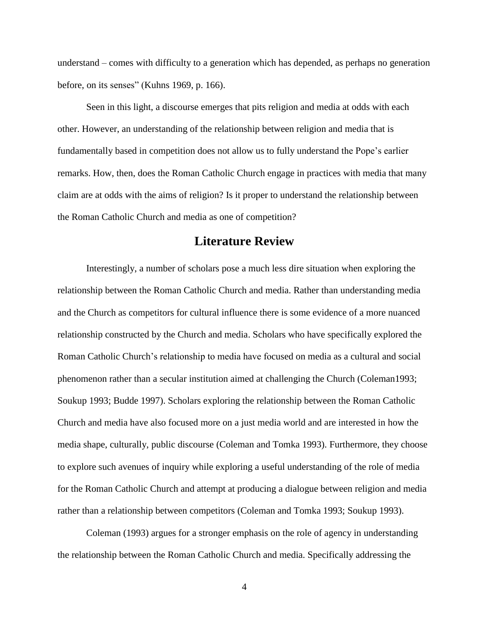understand – comes with difficulty to a generation which has depended, as perhaps no generation before, on its senses" (Kuhns 1969, p. 166).

Seen in this light, a discourse emerges that pits religion and media at odds with each other. However, an understanding of the relationship between religion and media that is fundamentally based in competition does not allow us to fully understand the Pope"s earlier remarks. How, then, does the Roman Catholic Church engage in practices with media that many claim are at odds with the aims of religion? Is it proper to understand the relationship between the Roman Catholic Church and media as one of competition?

## **Literature Review**

Interestingly, a number of scholars pose a much less dire situation when exploring the relationship between the Roman Catholic Church and media. Rather than understanding media and the Church as competitors for cultural influence there is some evidence of a more nuanced relationship constructed by the Church and media. Scholars who have specifically explored the Roman Catholic Church"s relationship to media have focused on media as a cultural and social phenomenon rather than a secular institution aimed at challenging the Church (Coleman1993; Soukup 1993; Budde 1997). Scholars exploring the relationship between the Roman Catholic Church and media have also focused more on a just media world and are interested in how the media shape, culturally, public discourse (Coleman and Tomka 1993). Furthermore, they choose to explore such avenues of inquiry while exploring a useful understanding of the role of media for the Roman Catholic Church and attempt at producing a dialogue between religion and media rather than a relationship between competitors (Coleman and Tomka 1993; Soukup 1993).

Coleman (1993) argues for a stronger emphasis on the role of agency in understanding the relationship between the Roman Catholic Church and media. Specifically addressing the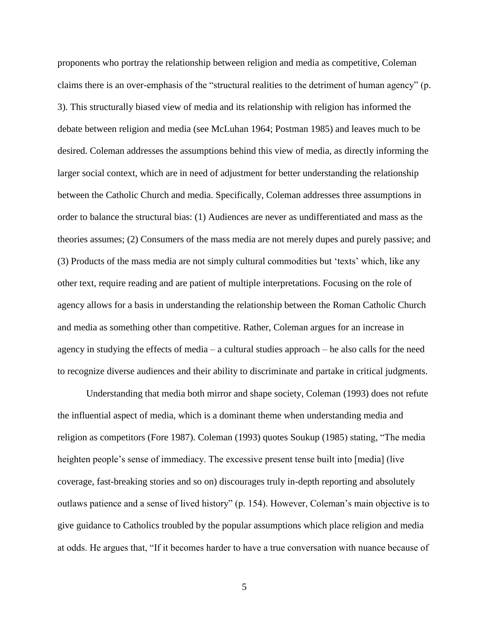proponents who portray the relationship between religion and media as competitive, Coleman claims there is an over-emphasis of the "structural realities to the detriment of human agency" (p. 3). This structurally biased view of media and its relationship with religion has informed the debate between religion and media (see McLuhan 1964; Postman 1985) and leaves much to be desired. Coleman addresses the assumptions behind this view of media, as directly informing the larger social context, which are in need of adjustment for better understanding the relationship between the Catholic Church and media. Specifically, Coleman addresses three assumptions in order to balance the structural bias: (1) Audiences are never as undifferentiated and mass as the theories assumes; (2) Consumers of the mass media are not merely dupes and purely passive; and (3) Products of the mass media are not simply cultural commodities but "texts" which, like any other text, require reading and are patient of multiple interpretations. Focusing on the role of agency allows for a basis in understanding the relationship between the Roman Catholic Church and media as something other than competitive. Rather, Coleman argues for an increase in agency in studying the effects of media – a cultural studies approach – he also calls for the need to recognize diverse audiences and their ability to discriminate and partake in critical judgments.

Understanding that media both mirror and shape society, Coleman (1993) does not refute the influential aspect of media, which is a dominant theme when understanding media and religion as competitors (Fore 1987). Coleman (1993) quotes Soukup (1985) stating, "The media heighten people's sense of immediacy. The excessive present tense built into [media] (live coverage, fast-breaking stories and so on) discourages truly in-depth reporting and absolutely outlaws patience and a sense of lived history" (p. 154). However, Coleman"s main objective is to give guidance to Catholics troubled by the popular assumptions which place religion and media at odds. He argues that, "If it becomes harder to have a true conversation with nuance because of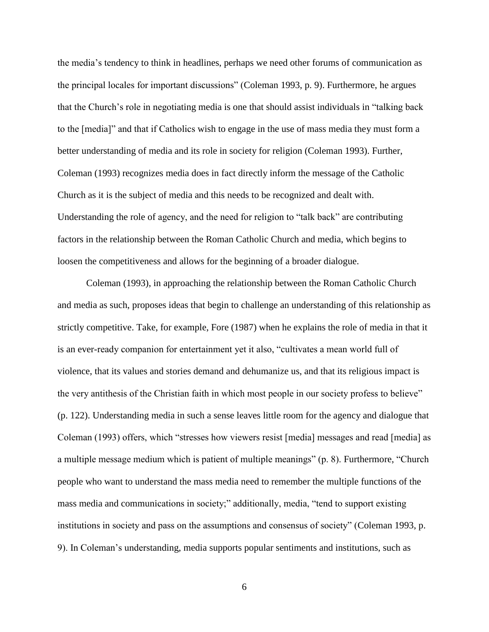the media"s tendency to think in headlines, perhaps we need other forums of communication as the principal locales for important discussions" (Coleman 1993, p. 9). Furthermore, he argues that the Church"s role in negotiating media is one that should assist individuals in "talking back to the [media]" and that if Catholics wish to engage in the use of mass media they must form a better understanding of media and its role in society for religion (Coleman 1993). Further, Coleman (1993) recognizes media does in fact directly inform the message of the Catholic Church as it is the subject of media and this needs to be recognized and dealt with. Understanding the role of agency, and the need for religion to "talk back" are contributing factors in the relationship between the Roman Catholic Church and media, which begins to loosen the competitiveness and allows for the beginning of a broader dialogue.

Coleman (1993), in approaching the relationship between the Roman Catholic Church and media as such, proposes ideas that begin to challenge an understanding of this relationship as strictly competitive. Take, for example, Fore (1987) when he explains the role of media in that it is an ever-ready companion for entertainment yet it also, "cultivates a mean world full of violence, that its values and stories demand and dehumanize us, and that its religious impact is the very antithesis of the Christian faith in which most people in our society profess to believe" (p. 122). Understanding media in such a sense leaves little room for the agency and dialogue that Coleman (1993) offers, which "stresses how viewers resist [media] messages and read [media] as a multiple message medium which is patient of multiple meanings" (p. 8). Furthermore, "Church people who want to understand the mass media need to remember the multiple functions of the mass media and communications in society;" additionally, media, "tend to support existing institutions in society and pass on the assumptions and consensus of society" (Coleman 1993, p. 9). In Coleman"s understanding, media supports popular sentiments and institutions, such as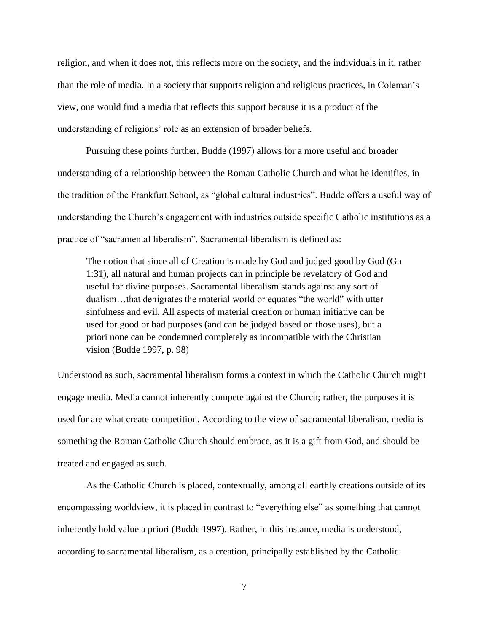religion, and when it does not, this reflects more on the society, and the individuals in it, rather than the role of media. In a society that supports religion and religious practices, in Coleman"s view, one would find a media that reflects this support because it is a product of the understanding of religions" role as an extension of broader beliefs.

Pursuing these points further, Budde (1997) allows for a more useful and broader understanding of a relationship between the Roman Catholic Church and what he identifies, in the tradition of the Frankfurt School, as "global cultural industries". Budde offers a useful way of understanding the Church"s engagement with industries outside specific Catholic institutions as a practice of "sacramental liberalism". Sacramental liberalism is defined as:

The notion that since all of Creation is made by God and judged good by God (Gn 1:31), all natural and human projects can in principle be revelatory of God and useful for divine purposes. Sacramental liberalism stands against any sort of dualism…that denigrates the material world or equates "the world" with utter sinfulness and evil. All aspects of material creation or human initiative can be used for good or bad purposes (and can be judged based on those uses), but a priori none can be condemned completely as incompatible with the Christian vision (Budde 1997, p. 98)

Understood as such, sacramental liberalism forms a context in which the Catholic Church might engage media. Media cannot inherently compete against the Church; rather, the purposes it is used for are what create competition. According to the view of sacramental liberalism, media is something the Roman Catholic Church should embrace, as it is a gift from God, and should be treated and engaged as such.

As the Catholic Church is placed, contextually, among all earthly creations outside of its encompassing worldview, it is placed in contrast to "everything else" as something that cannot inherently hold value a priori (Budde 1997). Rather, in this instance, media is understood, according to sacramental liberalism, as a creation, principally established by the Catholic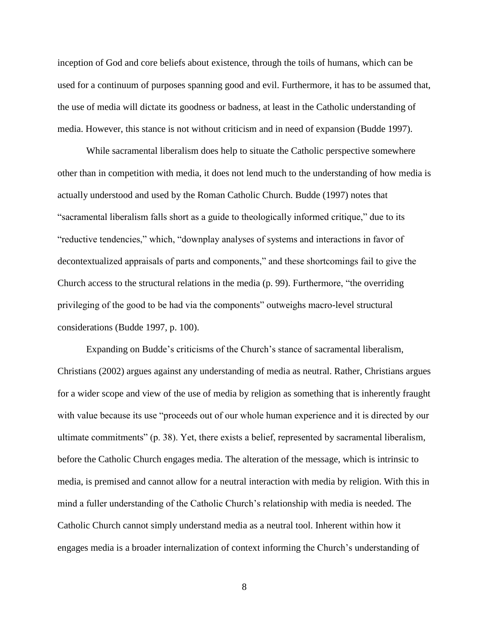inception of God and core beliefs about existence, through the toils of humans, which can be used for a continuum of purposes spanning good and evil. Furthermore, it has to be assumed that, the use of media will dictate its goodness or badness, at least in the Catholic understanding of media. However, this stance is not without criticism and in need of expansion (Budde 1997).

While sacramental liberalism does help to situate the Catholic perspective somewhere other than in competition with media, it does not lend much to the understanding of how media is actually understood and used by the Roman Catholic Church. Budde (1997) notes that "sacramental liberalism falls short as a guide to theologically informed critique," due to its "reductive tendencies," which, "downplay analyses of systems and interactions in favor of decontextualized appraisals of parts and components," and these shortcomings fail to give the Church access to the structural relations in the media (p. 99). Furthermore, "the overriding privileging of the good to be had via the components" outweighs macro-level structural considerations (Budde 1997, p. 100).

Expanding on Budde"s criticisms of the Church"s stance of sacramental liberalism, Christians (2002) argues against any understanding of media as neutral. Rather, Christians argues for a wider scope and view of the use of media by religion as something that is inherently fraught with value because its use "proceeds out of our whole human experience and it is directed by our ultimate commitments" (p. 38). Yet, there exists a belief, represented by sacramental liberalism, before the Catholic Church engages media. The alteration of the message, which is intrinsic to media, is premised and cannot allow for a neutral interaction with media by religion. With this in mind a fuller understanding of the Catholic Church's relationship with media is needed. The Catholic Church cannot simply understand media as a neutral tool. Inherent within how it engages media is a broader internalization of context informing the Church"s understanding of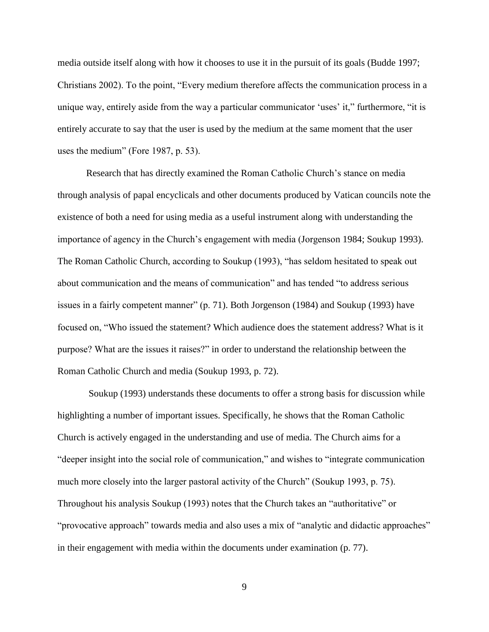media outside itself along with how it chooses to use it in the pursuit of its goals (Budde 1997; Christians 2002). To the point, "Every medium therefore affects the communication process in a unique way, entirely aside from the way a particular communicator 'uses' it," furthermore, "it is entirely accurate to say that the user is used by the medium at the same moment that the user uses the medium" (Fore 1987, p. 53).

Research that has directly examined the Roman Catholic Church"s stance on media through analysis of papal encyclicals and other documents produced by Vatican councils note the existence of both a need for using media as a useful instrument along with understanding the importance of agency in the Church's engagement with media (Jorgenson 1984; Soukup 1993). The Roman Catholic Church, according to Soukup (1993), "has seldom hesitated to speak out about communication and the means of communication" and has tended "to address serious issues in a fairly competent manner" (p. 71). Both Jorgenson (1984) and Soukup (1993) have focused on, "Who issued the statement? Which audience does the statement address? What is it purpose? What are the issues it raises?" in order to understand the relationship between the Roman Catholic Church and media (Soukup 1993, p. 72).

Soukup (1993) understands these documents to offer a strong basis for discussion while highlighting a number of important issues. Specifically, he shows that the Roman Catholic Church is actively engaged in the understanding and use of media. The Church aims for a "deeper insight into the social role of communication," and wishes to "integrate communication much more closely into the larger pastoral activity of the Church" (Soukup 1993, p. 75). Throughout his analysis Soukup (1993) notes that the Church takes an "authoritative" or "provocative approach" towards media and also uses a mix of "analytic and didactic approaches" in their engagement with media within the documents under examination (p. 77).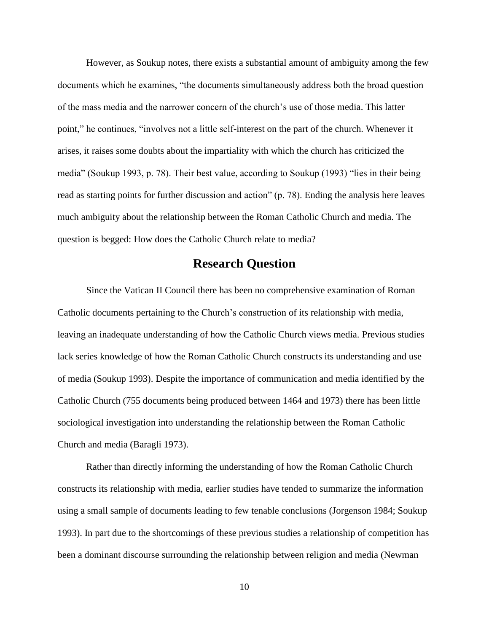However, as Soukup notes, there exists a substantial amount of ambiguity among the few documents which he examines, "the documents simultaneously address both the broad question of the mass media and the narrower concern of the church"s use of those media. This latter point," he continues, "involves not a little self-interest on the part of the church. Whenever it arises, it raises some doubts about the impartiality with which the church has criticized the media" (Soukup 1993, p. 78). Their best value, according to Soukup (1993) "lies in their being read as starting points for further discussion and action" (p. 78). Ending the analysis here leaves much ambiguity about the relationship between the Roman Catholic Church and media. The question is begged: How does the Catholic Church relate to media?

## **Research Question**

Since the Vatican II Council there has been no comprehensive examination of Roman Catholic documents pertaining to the Church"s construction of its relationship with media, leaving an inadequate understanding of how the Catholic Church views media. Previous studies lack series knowledge of how the Roman Catholic Church constructs its understanding and use of media (Soukup 1993). Despite the importance of communication and media identified by the Catholic Church (755 documents being produced between 1464 and 1973) there has been little sociological investigation into understanding the relationship between the Roman Catholic Church and media (Baragli 1973).

Rather than directly informing the understanding of how the Roman Catholic Church constructs its relationship with media, earlier studies have tended to summarize the information using a small sample of documents leading to few tenable conclusions (Jorgenson 1984; Soukup 1993). In part due to the shortcomings of these previous studies a relationship of competition has been a dominant discourse surrounding the relationship between religion and media (Newman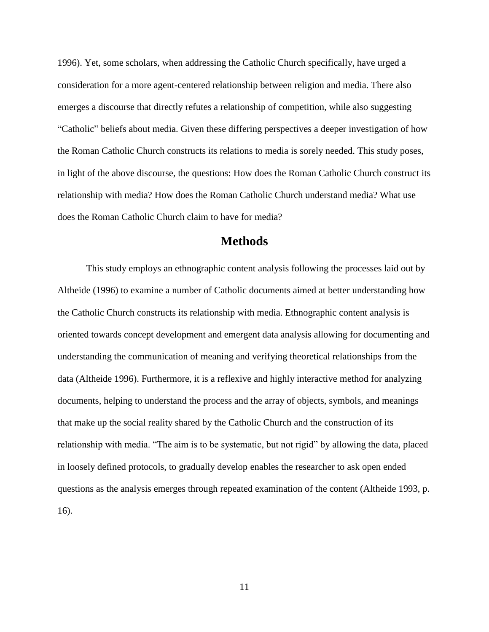1996). Yet, some scholars, when addressing the Catholic Church specifically, have urged a consideration for a more agent-centered relationship between religion and media. There also emerges a discourse that directly refutes a relationship of competition, while also suggesting "Catholic" beliefs about media. Given these differing perspectives a deeper investigation of how the Roman Catholic Church constructs its relations to media is sorely needed. This study poses, in light of the above discourse, the questions: How does the Roman Catholic Church construct its relationship with media? How does the Roman Catholic Church understand media? What use does the Roman Catholic Church claim to have for media?

## **Methods**

This study employs an ethnographic content analysis following the processes laid out by Altheide (1996) to examine a number of Catholic documents aimed at better understanding how the Catholic Church constructs its relationship with media. Ethnographic content analysis is oriented towards concept development and emergent data analysis allowing for documenting and understanding the communication of meaning and verifying theoretical relationships from the data (Altheide 1996). Furthermore, it is a reflexive and highly interactive method for analyzing documents, helping to understand the process and the array of objects, symbols, and meanings that make up the social reality shared by the Catholic Church and the construction of its relationship with media. "The aim is to be systematic, but not rigid" by allowing the data, placed in loosely defined protocols, to gradually develop enables the researcher to ask open ended questions as the analysis emerges through repeated examination of the content (Altheide 1993, p. 16).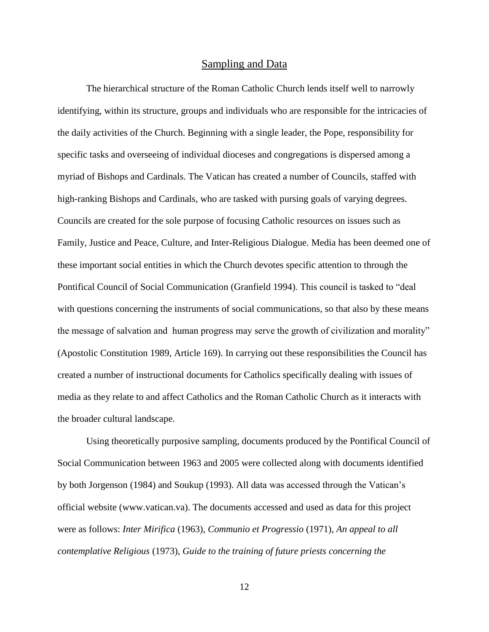#### Sampling and Data

The hierarchical structure of the Roman Catholic Church lends itself well to narrowly identifying, within its structure, groups and individuals who are responsible for the intricacies of the daily activities of the Church. Beginning with a single leader, the Pope, responsibility for specific tasks and overseeing of individual dioceses and congregations is dispersed among a myriad of Bishops and Cardinals. The Vatican has created a number of Councils, staffed with high-ranking Bishops and Cardinals, who are tasked with pursing goals of varying degrees. Councils are created for the sole purpose of focusing Catholic resources on issues such as Family, Justice and Peace, Culture, and Inter-Religious Dialogue. Media has been deemed one of these important social entities in which the Church devotes specific attention to through the Pontifical Council of Social Communication (Granfield 1994). This council is tasked to "deal with questions concerning the instruments of social communications, so that also by these means the message of salvation and human progress may serve the growth of civilization and morality" (Apostolic Constitution 1989, Article 169). In carrying out these responsibilities the Council has created a number of instructional documents for Catholics specifically dealing with issues of media as they relate to and affect Catholics and the Roman Catholic Church as it interacts with the broader cultural landscape.

Using theoretically purposive sampling, documents produced by the Pontifical Council of Social Communication between 1963 and 2005 were collected along with documents identified by both Jorgenson (1984) and Soukup (1993). All data was accessed through the Vatican"s official website (www.vatican.va). The documents accessed and used as data for this project were as follows: *Inter Mirifica* (1963), *Communio et Progressio* (1971), *An appeal to all contemplative Religious* (1973), *Guide to the training of future priests concerning the*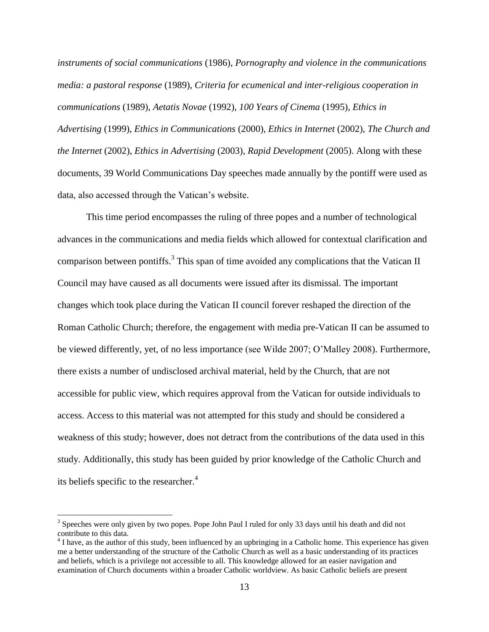*instruments of social communications* (1986), *Pornography and violence in the communications media: a pastoral response* (1989), *Criteria for ecumenical and inter-religious cooperation in communications* (1989), *Aetatis Novae* (1992), *100 Years of Cinema* (1995), *Ethics in Advertising* (1999), *Ethics in Communications* (2000), *Ethics in Internet* (2002), *The Church and the Internet* (2002), *Ethics in Advertising* (2003), *Rapid Development* (2005). Along with these documents, 39 World Communications Day speeches made annually by the pontiff were used as data, also accessed through the Vatican"s website.

This time period encompasses the ruling of three popes and a number of technological advances in the communications and media fields which allowed for contextual clarification and comparison between pontiffs.<sup>3</sup> This span of time avoided any complications that the Vatican II Council may have caused as all documents were issued after its dismissal. The important changes which took place during the Vatican II council forever reshaped the direction of the Roman Catholic Church; therefore, the engagement with media pre-Vatican II can be assumed to be viewed differently, yet, of no less importance (see Wilde 2007; O"Malley 2008). Furthermore, there exists a number of undisclosed archival material, held by the Church, that are not accessible for public view, which requires approval from the Vatican for outside individuals to access. Access to this material was not attempted for this study and should be considered a weakness of this study; however, does not detract from the contributions of the data used in this study. Additionally, this study has been guided by prior knowledge of the Catholic Church and its beliefs specific to the researcher. 4

 $\overline{a}$ 

<sup>&</sup>lt;sup>3</sup> Speeches were only given by two popes. Pope John Paul I ruled for only 33 days until his death and did not contribute to this data.

 $4$  I have, as the author of this study, been influenced by an upbringing in a Catholic home. This experience has given me a better understanding of the structure of the Catholic Church as well as a basic understanding of its practices and beliefs, which is a privilege not accessible to all. This knowledge allowed for an easier navigation and examination of Church documents within a broader Catholic worldview. As basic Catholic beliefs are present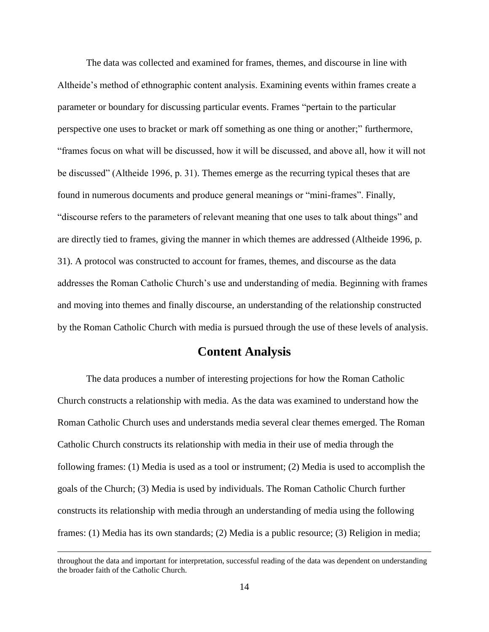The data was collected and examined for frames, themes, and discourse in line with Altheide"s method of ethnographic content analysis. Examining events within frames create a parameter or boundary for discussing particular events. Frames "pertain to the particular perspective one uses to bracket or mark off something as one thing or another;" furthermore, "frames focus on what will be discussed, how it will be discussed, and above all, how it will not be discussed" (Altheide 1996, p. 31). Themes emerge as the recurring typical theses that are found in numerous documents and produce general meanings or "mini-frames". Finally, "discourse refers to the parameters of relevant meaning that one uses to talk about things" and are directly tied to frames, giving the manner in which themes are addressed (Altheide 1996, p. 31). A protocol was constructed to account for frames, themes, and discourse as the data addresses the Roman Catholic Church's use and understanding of media. Beginning with frames and moving into themes and finally discourse, an understanding of the relationship constructed by the Roman Catholic Church with media is pursued through the use of these levels of analysis.

## **Content Analysis**

The data produces a number of interesting projections for how the Roman Catholic Church constructs a relationship with media. As the data was examined to understand how the Roman Catholic Church uses and understands media several clear themes emerged. The Roman Catholic Church constructs its relationship with media in their use of media through the following frames: (1) Media is used as a tool or instrument; (2) Media is used to accomplish the goals of the Church; (3) Media is used by individuals. The Roman Catholic Church further constructs its relationship with media through an understanding of media using the following frames: (1) Media has its own standards; (2) Media is a public resource; (3) Religion in media;

 $\overline{a}$ 

throughout the data and important for interpretation, successful reading of the data was dependent on understanding the broader faith of the Catholic Church.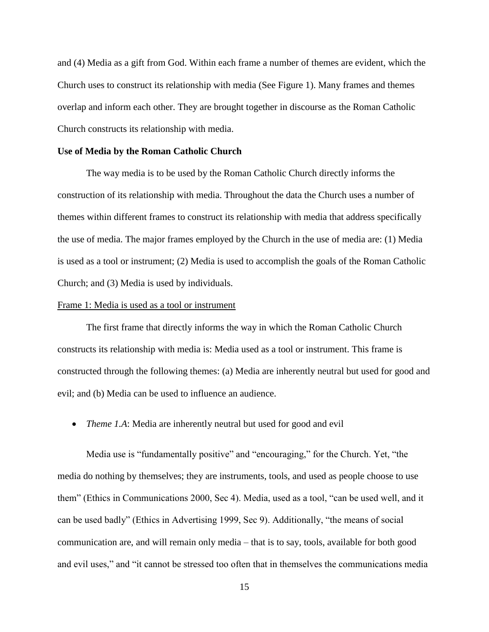and (4) Media as a gift from God. Within each frame a number of themes are evident, which the Church uses to construct its relationship with media (See Figure 1). Many frames and themes overlap and inform each other. They are brought together in discourse as the Roman Catholic Church constructs its relationship with media.

#### **Use of Media by the Roman Catholic Church**

The way media is to be used by the Roman Catholic Church directly informs the construction of its relationship with media. Throughout the data the Church uses a number of themes within different frames to construct its relationship with media that address specifically the use of media. The major frames employed by the Church in the use of media are: (1) Media is used as a tool or instrument; (2) Media is used to accomplish the goals of the Roman Catholic Church; and (3) Media is used by individuals.

#### Frame 1: Media is used as a tool or instrument

The first frame that directly informs the way in which the Roman Catholic Church constructs its relationship with media is: Media used as a tool or instrument. This frame is constructed through the following themes: (a) Media are inherently neutral but used for good and evil; and (b) Media can be used to influence an audience.

*Theme 1.A*: Media are inherently neutral but used for good and evil

Media use is "fundamentally positive" and "encouraging," for the Church. Yet, "the media do nothing by themselves; they are instruments, tools, and used as people choose to use them" (Ethics in Communications 2000, Sec 4). Media, used as a tool, "can be used well, and it can be used badly" (Ethics in Advertising 1999, Sec 9). Additionally, "the means of social communication are, and will remain only media – that is to say, tools, available for both good and evil uses," and "it cannot be stressed too often that in themselves the communications media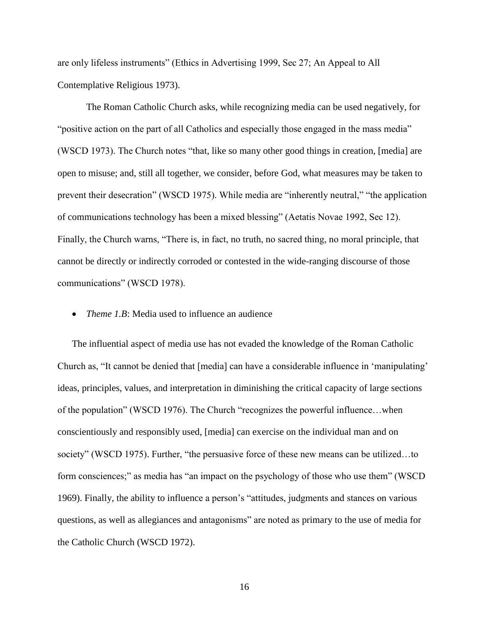are only lifeless instruments" (Ethics in Advertising 1999, Sec 27; An Appeal to All Contemplative Religious 1973).

The Roman Catholic Church asks, while recognizing media can be used negatively, for "positive action on the part of all Catholics and especially those engaged in the mass media" (WSCD 1973). The Church notes "that, like so many other good things in creation, [media] are open to misuse; and, still all together, we consider, before God, what measures may be taken to prevent their desecration" (WSCD 1975). While media are "inherently neutral," "the application of communications technology has been a mixed blessing" (Aetatis Novae 1992, Sec 12). Finally, the Church warns, "There is, in fact, no truth, no sacred thing, no moral principle, that cannot be directly or indirectly corroded or contested in the wide-ranging discourse of those communications" (WSCD 1978).

*Theme 1.B*: Media used to influence an audience

The influential aspect of media use has not evaded the knowledge of the Roman Catholic Church as, "It cannot be denied that [media] can have a considerable influence in "manipulating" ideas, principles, values, and interpretation in diminishing the critical capacity of large sections of the population" (WSCD 1976). The Church "recognizes the powerful influence…when conscientiously and responsibly used, [media] can exercise on the individual man and on society" (WSCD 1975). Further, "the persuasive force of these new means can be utilized…to form consciences;" as media has "an impact on the psychology of those who use them" (WSCD 1969). Finally, the ability to influence a person"s "attitudes, judgments and stances on various questions, as well as allegiances and antagonisms" are noted as primary to the use of media for the Catholic Church (WSCD 1972).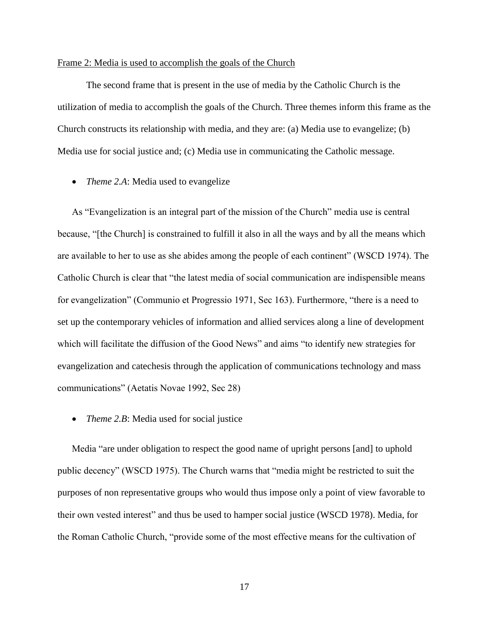#### Frame 2: Media is used to accomplish the goals of the Church

The second frame that is present in the use of media by the Catholic Church is the utilization of media to accomplish the goals of the Church. Three themes inform this frame as the Church constructs its relationship with media, and they are: (a) Media use to evangelize; (b) Media use for social justice and; (c) Media use in communicating the Catholic message.

*Theme 2.A*: Media used to evangelize

As "Evangelization is an integral part of the mission of the Church" media use is central because, "[the Church] is constrained to fulfill it also in all the ways and by all the means which are available to her to use as she abides among the people of each continent" (WSCD 1974). The Catholic Church is clear that "the latest media of social communication are indispensible means for evangelization" (Communio et Progressio 1971, Sec 163). Furthermore, "there is a need to set up the contemporary vehicles of information and allied services along a line of development which will facilitate the diffusion of the Good News" and aims "to identify new strategies for evangelization and catechesis through the application of communications technology and mass communications" (Aetatis Novae 1992, Sec 28)

• *Theme 2.B*: Media used for social justice

Media "are under obligation to respect the good name of upright persons [and] to uphold public decency" (WSCD 1975). The Church warns that "media might be restricted to suit the purposes of non representative groups who would thus impose only a point of view favorable to their own vested interest" and thus be used to hamper social justice (WSCD 1978). Media, for the Roman Catholic Church, "provide some of the most effective means for the cultivation of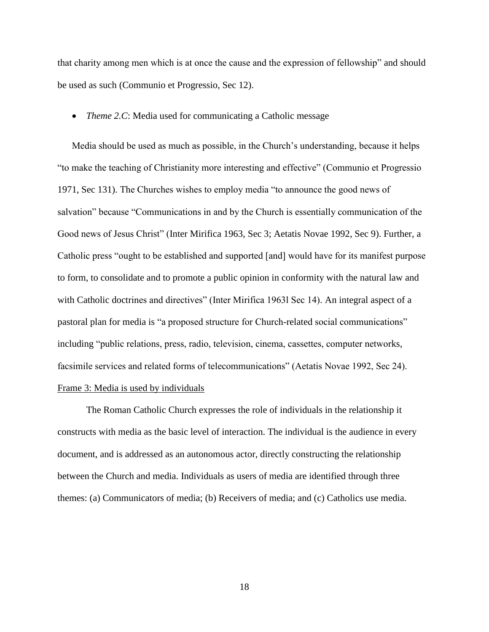that charity among men which is at once the cause and the expression of fellowship" and should be used as such (Communio et Progressio, Sec 12).

#### *Theme 2.C*: Media used for communicating a Catholic message

Media should be used as much as possible, in the Church's understanding, because it helps "to make the teaching of Christianity more interesting and effective" (Communio et Progressio 1971, Sec 131). The Churches wishes to employ media "to announce the good news of salvation" because "Communications in and by the Church is essentially communication of the Good news of Jesus Christ" (Inter Mirifica 1963, Sec 3; Aetatis Novae 1992, Sec 9). Further, a Catholic press "ought to be established and supported [and] would have for its manifest purpose to form, to consolidate and to promote a public opinion in conformity with the natural law and with Catholic doctrines and directives" (Inter Mirifica 1963l Sec 14). An integral aspect of a pastoral plan for media is "a proposed structure for Church-related social communications" including "public relations, press, radio, television, cinema, cassettes, computer networks, facsimile services and related forms of telecommunications" (Aetatis Novae 1992, Sec 24). Frame 3: Media is used by individuals

The Roman Catholic Church expresses the role of individuals in the relationship it constructs with media as the basic level of interaction. The individual is the audience in every document, and is addressed as an autonomous actor, directly constructing the relationship between the Church and media. Individuals as users of media are identified through three themes: (a) Communicators of media; (b) Receivers of media; and (c) Catholics use media.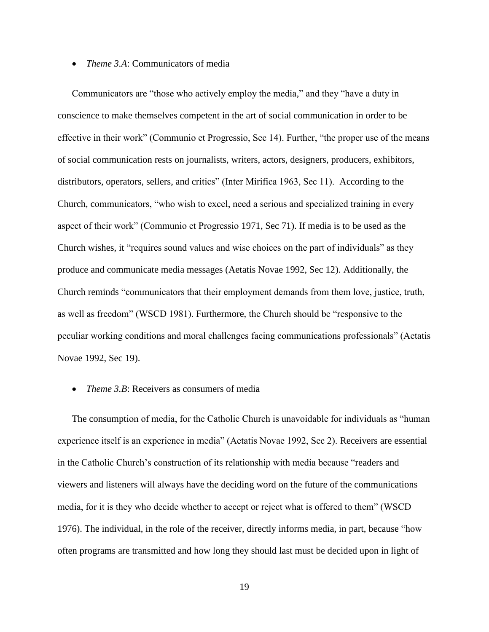*Theme 3.A*: Communicators of media

Communicators are "those who actively employ the media," and they "have a duty in conscience to make themselves competent in the art of social communication in order to be effective in their work" (Communio et Progressio, Sec 14). Further, "the proper use of the means of social communication rests on journalists, writers, actors, designers, producers, exhibitors, distributors, operators, sellers, and critics" (Inter Mirifica 1963, Sec 11). According to the Church, communicators, "who wish to excel, need a serious and specialized training in every aspect of their work" (Communio et Progressio 1971, Sec 71). If media is to be used as the Church wishes, it "requires sound values and wise choices on the part of individuals" as they produce and communicate media messages (Aetatis Novae 1992, Sec 12). Additionally, the Church reminds "communicators that their employment demands from them love, justice, truth, as well as freedom" (WSCD 1981). Furthermore, the Church should be "responsive to the peculiar working conditions and moral challenges facing communications professionals" (Aetatis Novae 1992, Sec 19).

#### *Theme 3.B*: Receivers as consumers of media

The consumption of media, for the Catholic Church is unavoidable for individuals as "human experience itself is an experience in media" (Aetatis Novae 1992, Sec 2). Receivers are essential in the Catholic Church"s construction of its relationship with media because "readers and viewers and listeners will always have the deciding word on the future of the communications media, for it is they who decide whether to accept or reject what is offered to them" (WSCD 1976). The individual, in the role of the receiver, directly informs media, in part, because "how often programs are transmitted and how long they should last must be decided upon in light of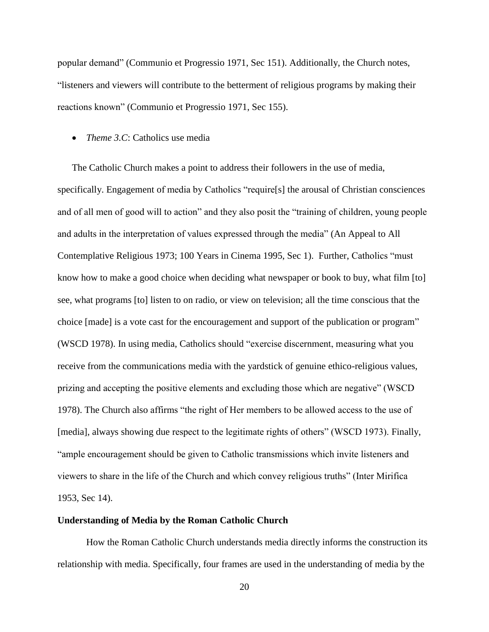popular demand" (Communio et Progressio 1971, Sec 151). Additionally, the Church notes, "listeners and viewers will contribute to the betterment of religious programs by making their reactions known" (Communio et Progressio 1971, Sec 155).

#### *Theme 3.C*: Catholics use media

The Catholic Church makes a point to address their followers in the use of media, specifically. Engagement of media by Catholics "require[s] the arousal of Christian consciences and of all men of good will to action" and they also posit the "training of children, young people and adults in the interpretation of values expressed through the media" (An Appeal to All Contemplative Religious 1973; 100 Years in Cinema 1995, Sec 1). Further, Catholics "must know how to make a good choice when deciding what newspaper or book to buy, what film [to] see, what programs [to] listen to on radio, or view on television; all the time conscious that the choice [made] is a vote cast for the encouragement and support of the publication or program" (WSCD 1978). In using media, Catholics should "exercise discernment, measuring what you receive from the communications media with the yardstick of genuine ethico-religious values, prizing and accepting the positive elements and excluding those which are negative" (WSCD 1978). The Church also affirms "the right of Her members to be allowed access to the use of [media], always showing due respect to the legitimate rights of others" (WSCD 1973). Finally, "ample encouragement should be given to Catholic transmissions which invite listeners and viewers to share in the life of the Church and which convey religious truths" (Inter Mirifica 1953, Sec 14).

#### **Understanding of Media by the Roman Catholic Church**

How the Roman Catholic Church understands media directly informs the construction its relationship with media. Specifically, four frames are used in the understanding of media by the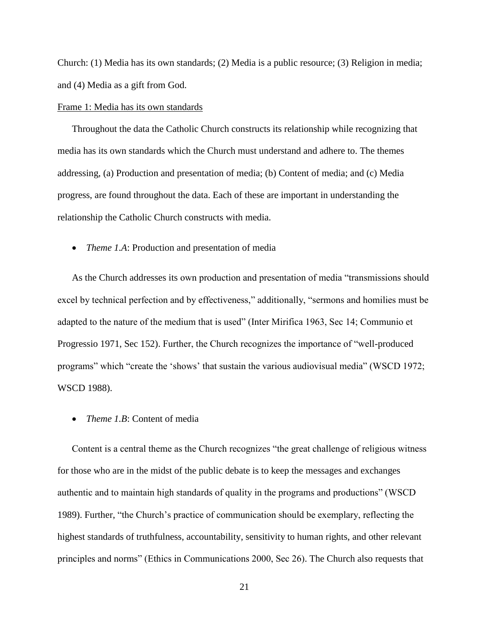Church: (1) Media has its own standards; (2) Media is a public resource; (3) Religion in media; and (4) Media as a gift from God.

#### Frame 1: Media has its own standards

Throughout the data the Catholic Church constructs its relationship while recognizing that media has its own standards which the Church must understand and adhere to. The themes addressing, (a) Production and presentation of media; (b) Content of media; and (c) Media progress, are found throughout the data. Each of these are important in understanding the relationship the Catholic Church constructs with media.

• *Theme 1.A*: Production and presentation of media

As the Church addresses its own production and presentation of media "transmissions should excel by technical perfection and by effectiveness," additionally, "sermons and homilies must be adapted to the nature of the medium that is used" (Inter Mirifica 1963, Sec 14; Communio et Progressio 1971, Sec 152). Further, the Church recognizes the importance of "well-produced programs" which "create the "shows" that sustain the various audiovisual media" (WSCD 1972; WSCD 1988).

*Theme 1.B*: Content of media

Content is a central theme as the Church recognizes "the great challenge of religious witness for those who are in the midst of the public debate is to keep the messages and exchanges authentic and to maintain high standards of quality in the programs and productions" (WSCD 1989). Further, "the Church"s practice of communication should be exemplary, reflecting the highest standards of truthfulness, accountability, sensitivity to human rights, and other relevant principles and norms" (Ethics in Communications 2000, Sec 26). The Church also requests that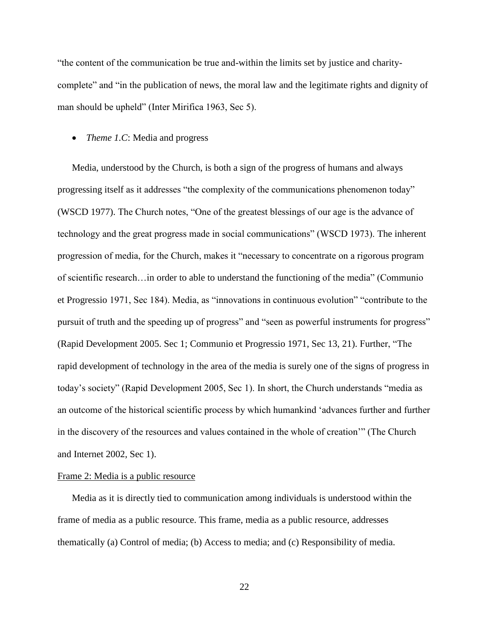"the content of the communication be true and-within the limits set by justice and charitycomplete" and "in the publication of news, the moral law and the legitimate rights and dignity of man should be upheld" (Inter Mirifica 1963, Sec 5).

#### • *Theme 1.C*: Media and progress

Media, understood by the Church, is both a sign of the progress of humans and always progressing itself as it addresses "the complexity of the communications phenomenon today" (WSCD 1977). The Church notes, "One of the greatest blessings of our age is the advance of technology and the great progress made in social communications" (WSCD 1973). The inherent progression of media, for the Church, makes it "necessary to concentrate on a rigorous program of scientific research…in order to able to understand the functioning of the media" (Communio et Progressio 1971, Sec 184). Media, as "innovations in continuous evolution" "contribute to the pursuit of truth and the speeding up of progress" and "seen as powerful instruments for progress" (Rapid Development 2005. Sec 1; Communio et Progressio 1971, Sec 13, 21). Further, "The rapid development of technology in the area of the media is surely one of the signs of progress in today"s society" (Rapid Development 2005, Sec 1). In short, the Church understands "media as an outcome of the historical scientific process by which humankind "advances further and further in the discovery of the resources and values contained in the whole of creation"" (The Church and Internet 2002, Sec 1).

#### Frame 2: Media is a public resource

Media as it is directly tied to communication among individuals is understood within the frame of media as a public resource. This frame, media as a public resource, addresses thematically (a) Control of media; (b) Access to media; and (c) Responsibility of media.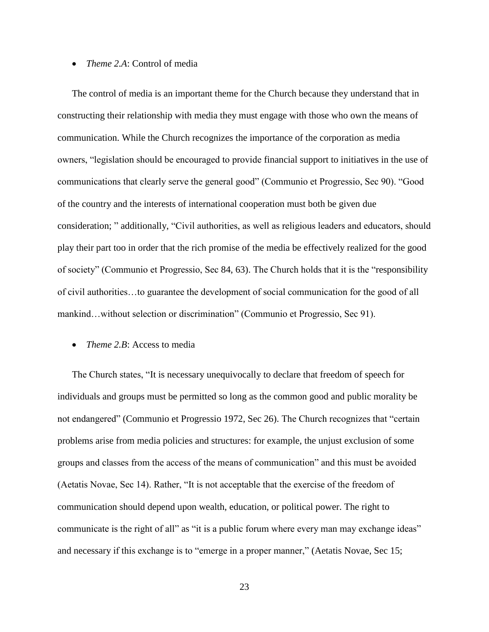#### *Theme 2.A*: Control of media

The control of media is an important theme for the Church because they understand that in constructing their relationship with media they must engage with those who own the means of communication. While the Church recognizes the importance of the corporation as media owners, "legislation should be encouraged to provide financial support to initiatives in the use of communications that clearly serve the general good" (Communio et Progressio, Sec 90). "Good of the country and the interests of international cooperation must both be given due consideration; " additionally, "Civil authorities, as well as religious leaders and educators, should play their part too in order that the rich promise of the media be effectively realized for the good of society" (Communio et Progressio, Sec 84, 63). The Church holds that it is the "responsibility of civil authorities…to guarantee the development of social communication for the good of all mankind…without selection or discrimination" (Communio et Progressio, Sec 91).

#### • *Theme 2.B:* Access to media

The Church states, "It is necessary unequivocally to declare that freedom of speech for individuals and groups must be permitted so long as the common good and public morality be not endangered" (Communio et Progressio 1972, Sec 26). The Church recognizes that "certain problems arise from media policies and structures: for example, the unjust exclusion of some groups and classes from the access of the means of communication" and this must be avoided (Aetatis Novae, Sec 14). Rather, "It is not acceptable that the exercise of the freedom of communication should depend upon wealth, education, or political power. The right to communicate is the right of all" as "it is a public forum where every man may exchange ideas" and necessary if this exchange is to "emerge in a proper manner," (Aetatis Novae, Sec 15;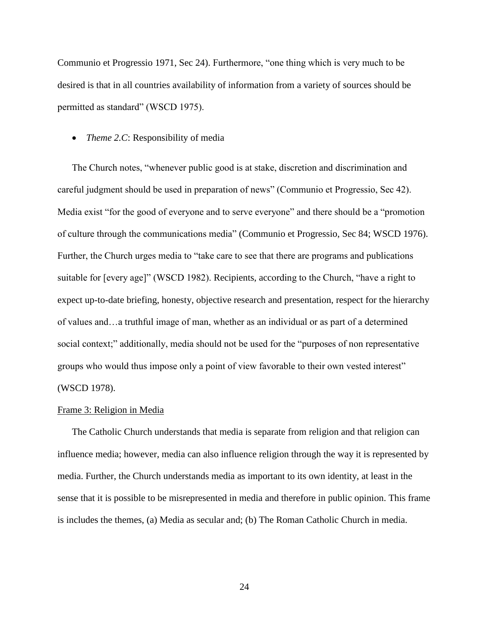Communio et Progressio 1971, Sec 24). Furthermore, "one thing which is very much to be desired is that in all countries availability of information from a variety of sources should be permitted as standard" (WSCD 1975).

#### • *Theme 2.C*: Responsibility of media

The Church notes, "whenever public good is at stake, discretion and discrimination and careful judgment should be used in preparation of news" (Communio et Progressio, Sec 42). Media exist "for the good of everyone and to serve everyone" and there should be a "promotion of culture through the communications media" (Communio et Progressio, Sec 84; WSCD 1976). Further, the Church urges media to "take care to see that there are programs and publications suitable for [every age]" (WSCD 1982). Recipients, according to the Church, "have a right to expect up-to-date briefing, honesty, objective research and presentation, respect for the hierarchy of values and…a truthful image of man, whether as an individual or as part of a determined social context;" additionally, media should not be used for the "purposes of non representative groups who would thus impose only a point of view favorable to their own vested interest" (WSCD 1978).

#### Frame 3: Religion in Media

The Catholic Church understands that media is separate from religion and that religion can influence media; however, media can also influence religion through the way it is represented by media. Further, the Church understands media as important to its own identity, at least in the sense that it is possible to be misrepresented in media and therefore in public opinion. This frame is includes the themes, (a) Media as secular and; (b) The Roman Catholic Church in media.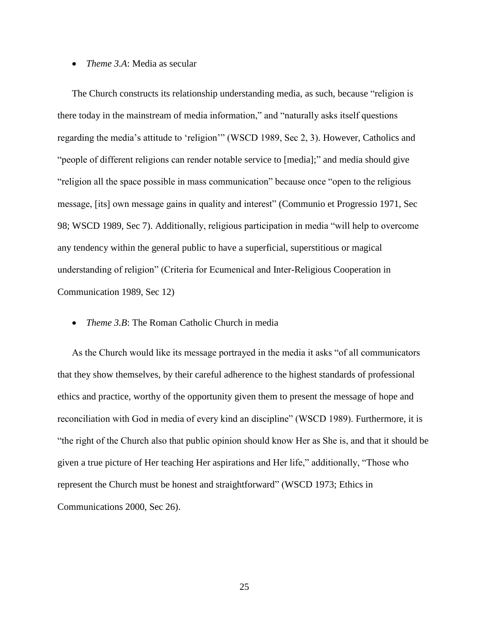#### *Theme 3.A*: Media as secular

The Church constructs its relationship understanding media, as such, because "religion is there today in the mainstream of media information," and "naturally asks itself questions regarding the media"s attitude to "religion"" (WSCD 1989, Sec 2, 3). However, Catholics and "people of different religions can render notable service to [media];" and media should give "religion all the space possible in mass communication" because once "open to the religious message, [its] own message gains in quality and interest" (Communio et Progressio 1971, Sec 98; WSCD 1989, Sec 7). Additionally, religious participation in media "will help to overcome any tendency within the general public to have a superficial, superstitious or magical understanding of religion" (Criteria for Ecumenical and Inter-Religious Cooperation in Communication 1989, Sec 12)

#### *Theme 3.B*: The Roman Catholic Church in media

As the Church would like its message portrayed in the media it asks "of all communicators that they show themselves, by their careful adherence to the highest standards of professional ethics and practice, worthy of the opportunity given them to present the message of hope and reconciliation with God in media of every kind an discipline" (WSCD 1989). Furthermore, it is "the right of the Church also that public opinion should know Her as She is, and that it should be given a true picture of Her teaching Her aspirations and Her life," additionally, "Those who represent the Church must be honest and straightforward" (WSCD 1973; Ethics in Communications 2000, Sec 26).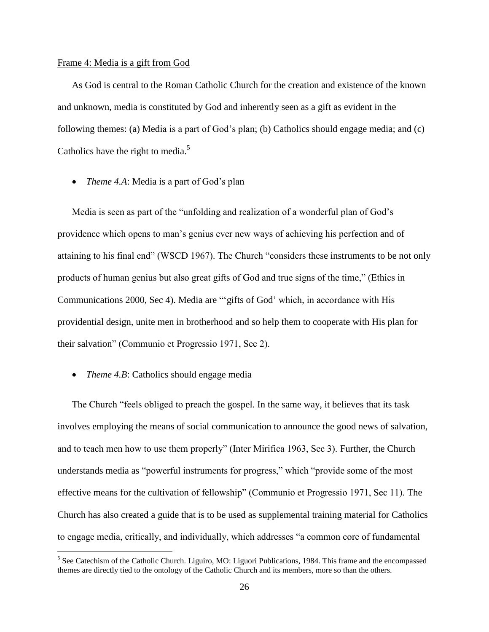#### Frame 4: Media is a gift from God

As God is central to the Roman Catholic Church for the creation and existence of the known and unknown, media is constituted by God and inherently seen as a gift as evident in the following themes: (a) Media is a part of God"s plan; (b) Catholics should engage media; and (c) Catholics have the right to media.<sup>5</sup>

• *Theme 4.A*: Media is a part of God's plan

Media is seen as part of the "unfolding and realization of a wonderful plan of God"s providence which opens to man"s genius ever new ways of achieving his perfection and of attaining to his final end" (WSCD 1967). The Church "considers these instruments to be not only products of human genius but also great gifts of God and true signs of the time," (Ethics in Communications 2000, Sec 4). Media are ""gifts of God" which, in accordance with His providential design, unite men in brotherhood and so help them to cooperate with His plan for their salvation" (Communio et Progressio 1971, Sec 2).

• *Theme 4.B*: Catholics should engage media

The Church "feels obliged to preach the gospel. In the same way, it believes that its task involves employing the means of social communication to announce the good news of salvation, and to teach men how to use them properly" (Inter Mirifica 1963, Sec 3). Further, the Church understands media as "powerful instruments for progress," which "provide some of the most effective means for the cultivation of fellowship" (Communio et Progressio 1971, Sec 11). The Church has also created a guide that is to be used as supplemental training material for Catholics to engage media, critically, and individually, which addresses "a common core of fundamental

<sup>&</sup>lt;sup>5</sup> See Catechism of the Catholic Church. Liguiro, MO: Liguori Publications, 1984. This frame and the encompassed themes are directly tied to the ontology of the Catholic Church and its members, more so than the others.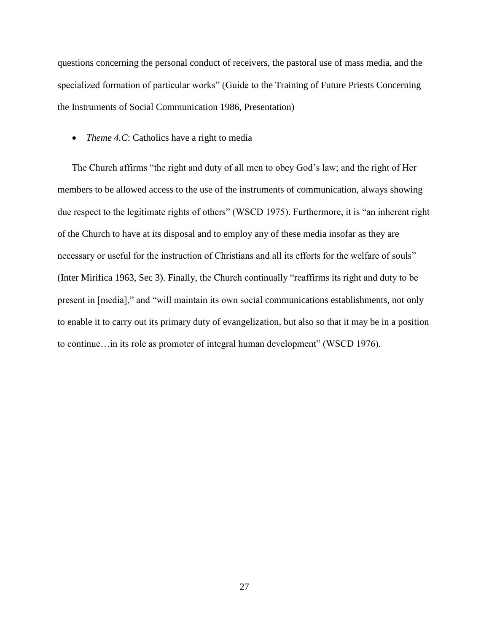questions concerning the personal conduct of receivers, the pastoral use of mass media, and the specialized formation of particular works" (Guide to the Training of Future Priests Concerning the Instruments of Social Communication 1986, Presentation)

• *Theme 4.C*: Catholics have a right to media

The Church affirms "the right and duty of all men to obey God"s law; and the right of Her members to be allowed access to the use of the instruments of communication, always showing due respect to the legitimate rights of others" (WSCD 1975). Furthermore, it is "an inherent right of the Church to have at its disposal and to employ any of these media insofar as they are necessary or useful for the instruction of Christians and all its efforts for the welfare of souls" (Inter Mirifica 1963, Sec 3). Finally, the Church continually "reaffirms its right and duty to be present in [media]," and "will maintain its own social communications establishments, not only to enable it to carry out its primary duty of evangelization, but also so that it may be in a position to continue…in its role as promoter of integral human development" (WSCD 1976).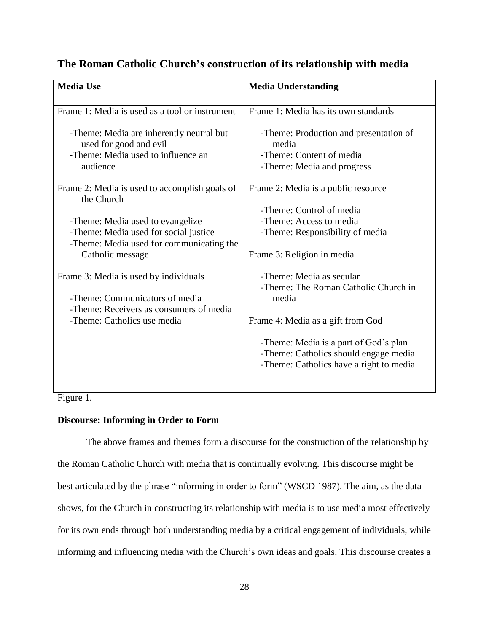## **The Roman Catholic Church's construction of its relationship with media**

| <b>Media Use</b>                                                          | <b>Media Understanding</b>              |  |  |
|---------------------------------------------------------------------------|-----------------------------------------|--|--|
|                                                                           |                                         |  |  |
| Frame 1: Media is used as a tool or instrument                            | Frame 1: Media has its own standards    |  |  |
|                                                                           |                                         |  |  |
| -Theme: Media are inherently neutral but                                  | -Theme: Production and presentation of  |  |  |
| used for good and evil                                                    | media                                   |  |  |
| -Theme: Media used to influence an                                        | -Theme: Content of media                |  |  |
| audience                                                                  | -Theme: Media and progress              |  |  |
| Frame 2: Media is used to accomplish goals of                             | Frame 2: Media is a public resource     |  |  |
| the Church                                                                |                                         |  |  |
|                                                                           | -Theme: Control of media                |  |  |
| -Theme: Media used to evangelize                                          | -Theme: Access to media                 |  |  |
| -Theme: Media used for social justice                                     | -Theme: Responsibility of media         |  |  |
| -Theme: Media used for communicating the                                  |                                         |  |  |
| Catholic message                                                          | Frame 3: Religion in media              |  |  |
|                                                                           |                                         |  |  |
| Frame 3: Media is used by individuals                                     | -Theme: Media as secular                |  |  |
|                                                                           | -Theme: The Roman Catholic Church in    |  |  |
| -Theme: Communicators of media<br>-Theme: Receivers as consumers of media | media                                   |  |  |
| -Theme: Catholics use media                                               | Frame 4: Media as a gift from God       |  |  |
|                                                                           |                                         |  |  |
|                                                                           | -Theme: Media is a part of God's plan   |  |  |
|                                                                           | -Theme: Catholics should engage media   |  |  |
|                                                                           | -Theme: Catholics have a right to media |  |  |
|                                                                           |                                         |  |  |
|                                                                           |                                         |  |  |

Figure 1.

#### **Discourse: Informing in Order to Form**

The above frames and themes form a discourse for the construction of the relationship by the Roman Catholic Church with media that is continually evolving. This discourse might be best articulated by the phrase "informing in order to form" (WSCD 1987). The aim, as the data shows, for the Church in constructing its relationship with media is to use media most effectively for its own ends through both understanding media by a critical engagement of individuals, while informing and influencing media with the Church's own ideas and goals. This discourse creates a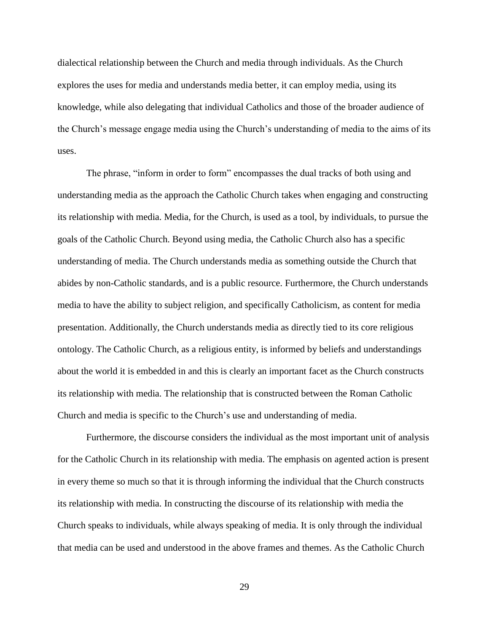dialectical relationship between the Church and media through individuals. As the Church explores the uses for media and understands media better, it can employ media, using its knowledge, while also delegating that individual Catholics and those of the broader audience of the Church"s message engage media using the Church"s understanding of media to the aims of its uses.

The phrase, "inform in order to form" encompasses the dual tracks of both using and understanding media as the approach the Catholic Church takes when engaging and constructing its relationship with media. Media, for the Church, is used as a tool, by individuals, to pursue the goals of the Catholic Church. Beyond using media, the Catholic Church also has a specific understanding of media. The Church understands media as something outside the Church that abides by non-Catholic standards, and is a public resource. Furthermore, the Church understands media to have the ability to subject religion, and specifically Catholicism, as content for media presentation. Additionally, the Church understands media as directly tied to its core religious ontology. The Catholic Church, as a religious entity, is informed by beliefs and understandings about the world it is embedded in and this is clearly an important facet as the Church constructs its relationship with media. The relationship that is constructed between the Roman Catholic Church and media is specific to the Church"s use and understanding of media.

Furthermore, the discourse considers the individual as the most important unit of analysis for the Catholic Church in its relationship with media. The emphasis on agented action is present in every theme so much so that it is through informing the individual that the Church constructs its relationship with media. In constructing the discourse of its relationship with media the Church speaks to individuals, while always speaking of media. It is only through the individual that media can be used and understood in the above frames and themes. As the Catholic Church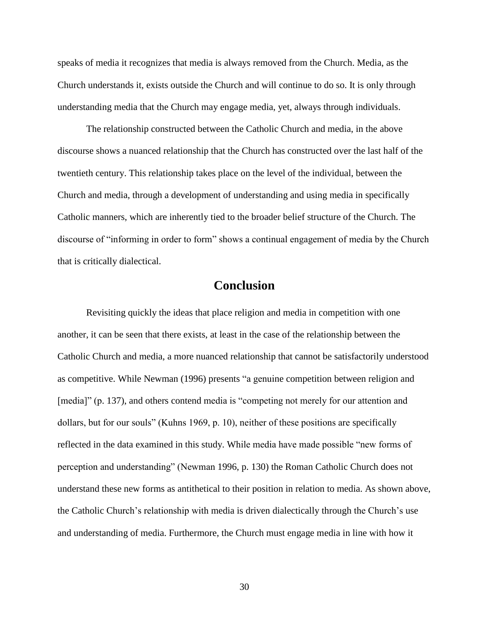speaks of media it recognizes that media is always removed from the Church. Media, as the Church understands it, exists outside the Church and will continue to do so. It is only through understanding media that the Church may engage media, yet, always through individuals.

The relationship constructed between the Catholic Church and media, in the above discourse shows a nuanced relationship that the Church has constructed over the last half of the twentieth century. This relationship takes place on the level of the individual, between the Church and media, through a development of understanding and using media in specifically Catholic manners, which are inherently tied to the broader belief structure of the Church. The discourse of "informing in order to form" shows a continual engagement of media by the Church that is critically dialectical.

## **Conclusion**

Revisiting quickly the ideas that place religion and media in competition with one another, it can be seen that there exists, at least in the case of the relationship between the Catholic Church and media, a more nuanced relationship that cannot be satisfactorily understood as competitive. While Newman (1996) presents "a genuine competition between religion and [media]" (p. 137), and others contend media is "competing not merely for our attention and dollars, but for our souls" (Kuhns 1969, p. 10), neither of these positions are specifically reflected in the data examined in this study. While media have made possible "new forms of perception and understanding" (Newman 1996, p. 130) the Roman Catholic Church does not understand these new forms as antithetical to their position in relation to media. As shown above, the Catholic Church"s relationship with media is driven dialectically through the Church"s use and understanding of media. Furthermore, the Church must engage media in line with how it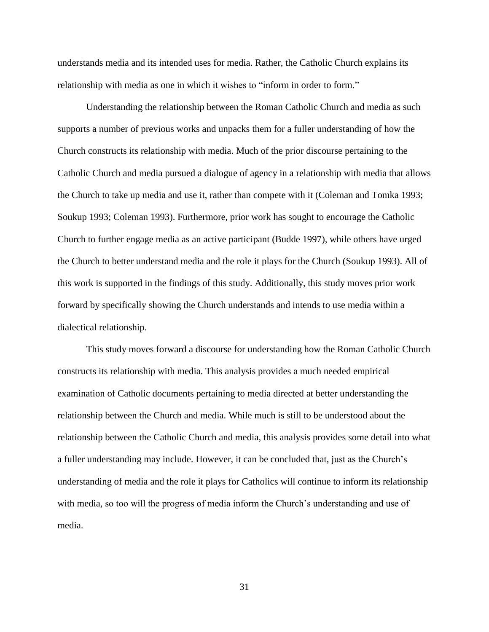understands media and its intended uses for media. Rather, the Catholic Church explains its relationship with media as one in which it wishes to "inform in order to form."

Understanding the relationship between the Roman Catholic Church and media as such supports a number of previous works and unpacks them for a fuller understanding of how the Church constructs its relationship with media. Much of the prior discourse pertaining to the Catholic Church and media pursued a dialogue of agency in a relationship with media that allows the Church to take up media and use it, rather than compete with it (Coleman and Tomka 1993; Soukup 1993; Coleman 1993). Furthermore, prior work has sought to encourage the Catholic Church to further engage media as an active participant (Budde 1997), while others have urged the Church to better understand media and the role it plays for the Church (Soukup 1993). All of this work is supported in the findings of this study. Additionally, this study moves prior work forward by specifically showing the Church understands and intends to use media within a dialectical relationship.

This study moves forward a discourse for understanding how the Roman Catholic Church constructs its relationship with media. This analysis provides a much needed empirical examination of Catholic documents pertaining to media directed at better understanding the relationship between the Church and media. While much is still to be understood about the relationship between the Catholic Church and media, this analysis provides some detail into what a fuller understanding may include. However, it can be concluded that, just as the Church"s understanding of media and the role it plays for Catholics will continue to inform its relationship with media, so too will the progress of media inform the Church's understanding and use of media.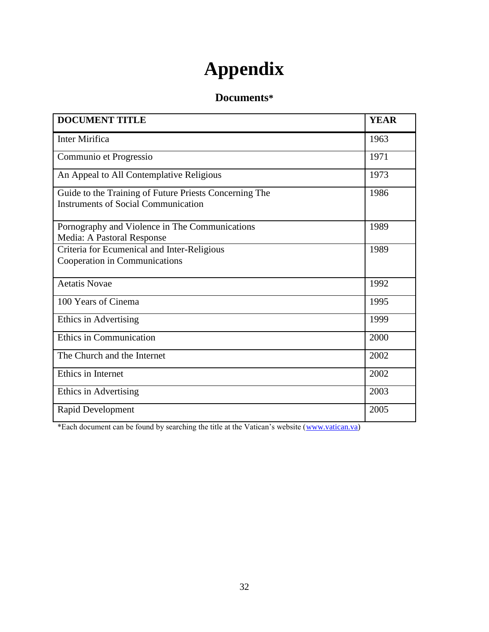# **Appendix**

## **Documents\***

| <b>DOCUMENT TITLE</b>                                                                                | <b>YEAR</b> |
|------------------------------------------------------------------------------------------------------|-------------|
| <b>Inter Mirifica</b>                                                                                | 1963        |
| Communio et Progressio                                                                               | 1971        |
| An Appeal to All Contemplative Religious                                                             | 1973        |
| Guide to the Training of Future Priests Concerning The<br><b>Instruments of Social Communication</b> | 1986        |
| Pornography and Violence in The Communications<br>Media: A Pastoral Response                         | 1989        |
| Criteria for Ecumenical and Inter-Religious<br>Cooperation in Communications                         | 1989        |
| <b>Aetatis Novae</b>                                                                                 | 1992        |
| 100 Years of Cinema                                                                                  | 1995        |
| Ethics in Advertising                                                                                | 1999        |
| <b>Ethics in Communication</b>                                                                       | 2000        |
| The Church and the Internet                                                                          | 2002        |
| Ethics in Internet                                                                                   | 2002        |
| Ethics in Advertising                                                                                | 2003        |
| Rapid Development                                                                                    | 2005        |

\*Each document can be found by searching the title at the Vatican"s website [\(www.vatican.va\)](http://www.vatican.va/)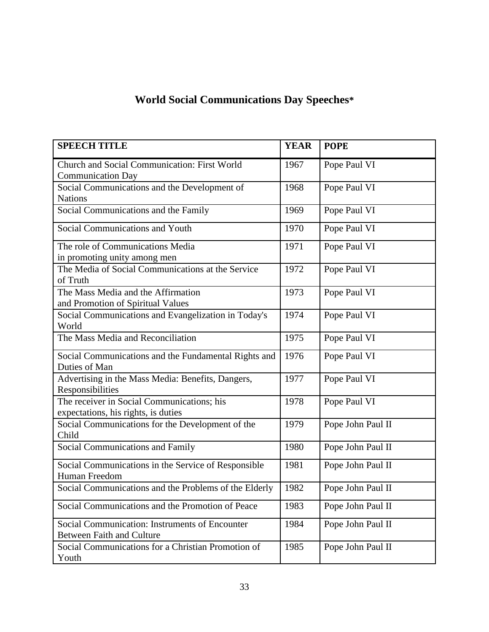# **World Social Communications Day Speeches\***

| <b>SPEECH TITLE</b>                                                                |             | <b>POPE</b>       |
|------------------------------------------------------------------------------------|-------------|-------------------|
| Church and Social Communication: First World<br><b>Communication Day</b>           | 1967        | Pope Paul VI      |
| Social Communications and the Development of<br><b>Nations</b>                     | 1968        | Pope Paul VI      |
| Social Communications and the Family                                               | 1969        | Pope Paul VI      |
| Social Communications and Youth                                                    | 1970        | Pope Paul VI      |
| The role of Communications Media<br>in promoting unity among men                   | 1971        | Pope Paul VI      |
| The Media of Social Communications at the Service<br>of Truth                      | 1972        | Pope Paul VI      |
| The Mass Media and the Affirmation<br>and Promotion of Spiritual Values            | 1973        | Pope Paul VI      |
| Social Communications and Evangelization in Today's<br>World                       | 1974        | Pope Paul VI      |
| The Mass Media and Reconciliation                                                  | 1975        | Pope Paul VI      |
| Social Communications and the Fundamental Rights and<br>Duties of Man              | 1976        | Pope Paul VI      |
| Advertising in the Mass Media: Benefits, Dangers,<br>Responsibilities              | 1977        | Pope Paul VI      |
| The receiver in Social Communications; his<br>expectations, his rights, is duties  | 1978        | Pope Paul VI      |
| Social Communications for the Development of the<br>Child                          | 1979        | Pope John Paul II |
| Social Communications and Family                                                   | 1980        | Pope John Paul II |
| Social Communications in the Service of Responsible<br>Human Freedom               | 1981        | Pope John Paul II |
| Social Communications and the Problems of the Elderly                              | <u>1982</u> | Pope John Paul II |
| Social Communications and the Promotion of Peace                                   | 1983        | Pope John Paul II |
| Social Communication: Instruments of Encounter<br><b>Between Faith and Culture</b> | 1984        | Pope John Paul II |
| Social Communications for a Christian Promotion of<br>Youth                        | 1985        | Pope John Paul II |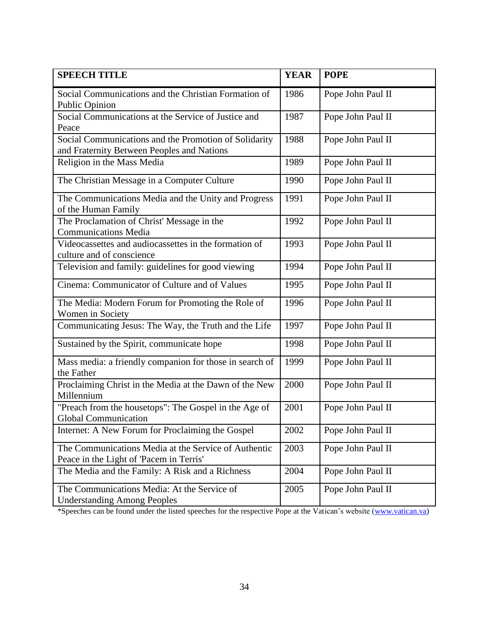| <b>SPEECH TITLE</b>                                                                                 | <b>YEAR</b> | <b>POPE</b>       |
|-----------------------------------------------------------------------------------------------------|-------------|-------------------|
| Social Communications and the Christian Formation of<br><b>Public Opinion</b>                       | 1986        | Pope John Paul II |
| Social Communications at the Service of Justice and<br>Peace                                        | 1987        | Pope John Paul II |
| Social Communications and the Promotion of Solidarity<br>and Fraternity Between Peoples and Nations | 1988        | Pope John Paul II |
| Religion in the Mass Media                                                                          | 1989        | Pope John Paul II |
| The Christian Message in a Computer Culture                                                         | 1990        | Pope John Paul II |
| The Communications Media and the Unity and Progress<br>of the Human Family                          | 1991        | Pope John Paul II |
| The Proclamation of Christ' Message in the<br><b>Communications Media</b>                           | 1992        | Pope John Paul II |
| Videocassettes and audiocassettes in the formation of<br>culture and of conscience                  | 1993        | Pope John Paul II |
| Television and family: guidelines for good viewing                                                  | 1994        | Pope John Paul II |
| Cinema: Communicator of Culture and of Values                                                       | 1995        | Pope John Paul II |
| The Media: Modern Forum for Promoting the Role of<br>Women in Society                               | 1996        | Pope John Paul II |
| Communicating Jesus: The Way, the Truth and the Life                                                | 1997        | Pope John Paul II |
| Sustained by the Spirit, communicate hope                                                           | 1998        | Pope John Paul II |
| Mass media: a friendly companion for those in search of<br>the Father                               | 1999        | Pope John Paul II |
| Proclaiming Christ in the Media at the Dawn of the New<br>Millennium                                | 2000        | Pope John Paul II |
| "Preach from the housetops": The Gospel in the Age of<br>Global Communication                       | 2001        | Pope John Paul II |
| Internet: A New Forum for Proclaiming the Gospel                                                    | 2002        | Pope John Paul II |
| The Communications Media at the Service of Authentic<br>Peace in the Light of 'Pacem in Terris'     | 2003        | Pope John Paul II |
| The Media and the Family: A Risk and a Richness                                                     | 2004        | Pope John Paul II |
| The Communications Media: At the Service of<br><b>Understanding Among Peoples</b>                   | 2005        | Pope John Paul II |

\*Speeches can be found under the listed speeches for the respective Pope at the Vatican"s website [\(www.vatican.va\)](http://www.vatican.va/)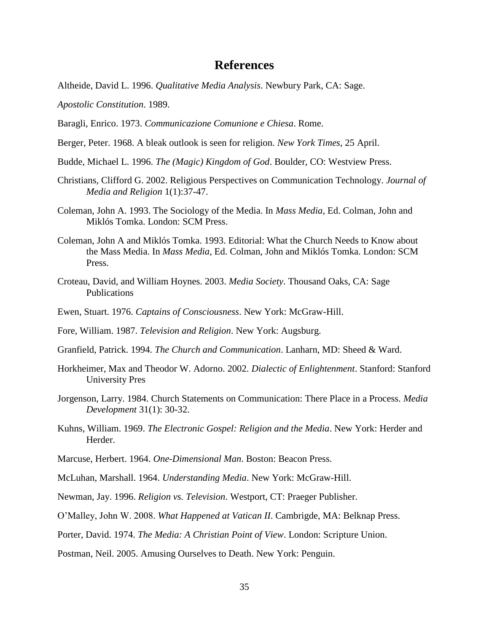## **References**

- Altheide, David L. 1996. *Qualitative Media Analysis*. Newbury Park, CA: Sage.
- *Apostolic Constitution*. 1989.

Baragli, Enrico. 1973. *Communicazione Comunione e Chiesa*. Rome.

- Berger, Peter. 1968. A bleak outlook is seen for religion. *New York Times*, 25 April.
- Budde, Michael L. 1996. *The (Magic) Kingdom of God*. Boulder, CO: Westview Press.
- Christians, Clifford G. 2002. Religious Perspectives on Communication Technology. *Journal of Media and Religion* 1(1):37-47.
- Coleman, John A. 1993. The Sociology of the Media. In *Mass Media*, Ed. Colman, John and Miklós Tomka. London: SCM Press.
- Coleman, John A and Miklós Tomka. 1993. Editorial: What the Church Needs to Know about the Mass Media. In *Mass Media*, Ed. Colman, John and Miklós Tomka. London: SCM Press.
- Croteau, David, and William Hoynes. 2003. *Media Society*. Thousand Oaks, CA: Sage Publications
- Ewen, Stuart. 1976. *Captains of Consciousness*. New York: McGraw-Hill.
- Fore, William. 1987. *Television and Religion*. New York: Augsburg.
- Granfield, Patrick. 1994. *The Church and Communication*. Lanharn, MD: Sheed & Ward.
- Horkheimer, Max and Theodor W. Adorno. 2002. *Dialectic of Enlightenment*. Stanford: Stanford University Pres
- Jorgenson, Larry. 1984. Church Statements on Communication: There Place in a Process. *Media Development* 31(1): 30-32.
- Kuhns, William. 1969. *The Electronic Gospel: Religion and the Media*. New York: Herder and Herder.
- Marcuse, Herbert. 1964. *One-Dimensional Man*. Boston: Beacon Press.
- McLuhan, Marshall. 1964. *Understanding Media*. New York: McGraw-Hill.
- Newman, Jay. 1996. *Religion vs. Television*. Westport, CT: Praeger Publisher.
- O"Malley, John W. 2008. *What Happened at Vatican II*. Cambrigde, MA: Belknap Press.
- Porter, David. 1974. *The Media: A Christian Point of View*. London: Scripture Union.
- Postman, Neil. 2005. Amusing Ourselves to Death. New York: Penguin.